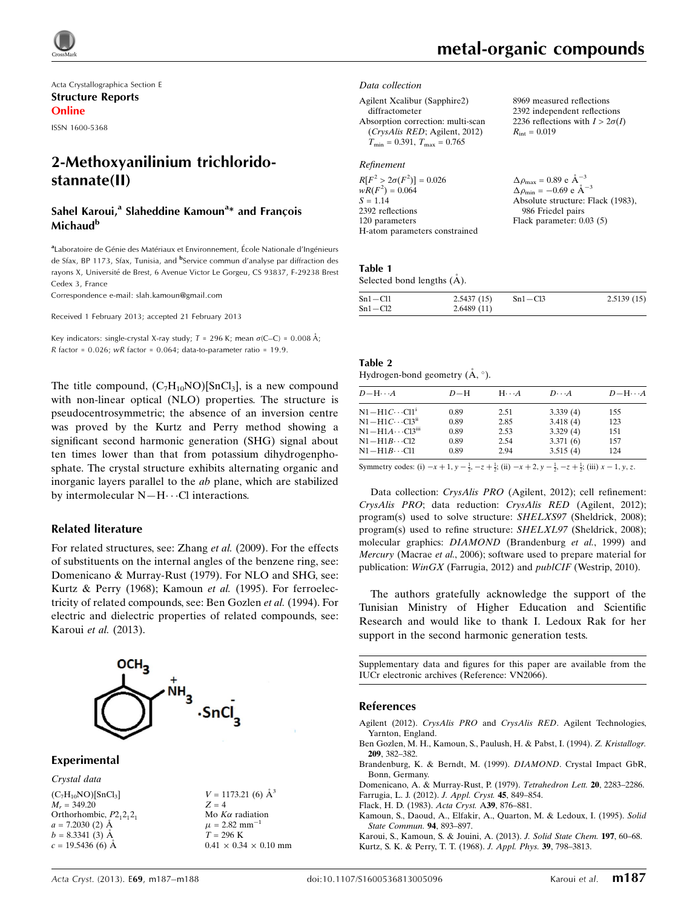

Acta Crystallographica Section E Structure Reports Online

ISSN 1600-5368

## 2-Methoxyanilinium trichloridostannate(II)

### Sahel Karoui,<sup>a</sup> Slaheddine Kamoun<sup>a</sup>\* and François Michaud<sup>b</sup>

aLaboratoire de Génie des Matériaux et Environnement, École Nationale d'Ingénieurs de Sfax, BP 1173, Sfax, Tunisia, and <sup>b</sup>Service commun d'analyse par diffraction des rayons X, Université de Brest, 6 Avenue Victor Le Gorgeu, CS 93837, F-29238 Brest Cedex 3, France

Correspondence e-mail: [slah.kamoun@gmail.com](https://scripts.iucr.org/cgi-bin/cr.cgi?rm=pdfbb&cnor=vn2066&bbid=BB13)

Received 1 February 2013; accepted 21 February 2013

Key indicators: single-crystal X-ray study;  $T = 296$  K; mean  $\sigma$ (C–C) = 0.008 Å; R factor =  $0.026$ ; wR factor =  $0.064$ ; data-to-parameter ratio = 19.9.

The title compound,  $(C_7H_{10}NO)[SnCl_3]$ , is a new compound with non-linear optical (NLO) properties. The structure is pseudocentrosymmetric; the absence of an inversion centre was proved by the Kurtz and Perry method showing a significant second harmonic generation (SHG) signal about ten times lower than that from potassium dihydrogenphosphate. The crystal structure exhibits alternating organic and inorganic layers parallel to the ab plane, which are stabilized by intermolecular  $N-H\cdots$ Cl interactions.

#### Related literature

For related structures, see: Zhang et al. (2009). For the effects of substituents on the internal angles of the benzene ring, see: Domenicano & Murray-Rust (1979). For NLO and SHG, see: Kurtz & Perry (1968); Kamoun et al. (1995). For ferroelectricity of related compounds, see: Ben Gozlen et al. (1994). For electric and dielectric properties of related compounds, see: Karoui et al. (2013).



Experimental

Crystal data  $(C_7H_{10}NO)[SnCl_3]$  $M_r = 349.20$ Orthorhombic,  $P2_12_12_1$  $a = 7.2030$  (2)  $\AA$  $b = 8.3341(3)$  Å  $c = 19.5436(6)$  A

 $V = 1173.21$  (6)  $\AA^3$  $Z = 4$ Mo  $K\alpha$  radiation  $\mu = 2.82$  mm<sup>-</sup>  $T = 296 \text{ K}$  $0.41 \times 0.34 \times 0.10$  mm  $R_{\text{int}} = 0.019$ 

8969 measured reflections 2392 independent reflections 2236 reflections with  $I > 2\sigma(I)$ 

#### Data collection

Agilent Xcalibur (Sapphire2) diffractometer Absorption correction: multi-scan (CrysAlis RED; Agilent, 2012)  $T_{\text{min}} = 0.391, T_{\text{max}} = 0.765$ 

#### Refinement

| $R[F^2 > 2\sigma(F^2)] = 0.026$ | $\Delta \rho_{\text{max}} = 0.89 \text{ e A}^{-3}$ |
|---------------------------------|----------------------------------------------------|
| $wR(F^2) = 0.064$               | $\Delta \rho_{\rm min} = -0.69$ e $\rm \AA^{-3}$   |
| $S = 1.14$                      | Absolute structure: Flack (1983),                  |
| 2392 reflections                | 986 Friedel pairs                                  |
| 120 parameters                  | Flack parameter: $0.03(5)$                         |
| H-atom parameters constrained   |                                                    |

#### Table 1 Selected bond lengths  $(A)$ .

| $Sn1 - Cl1$ | 2.5437(15) | $Sn1 - Cl3$ | 2.5139(15) |
|-------------|------------|-------------|------------|
| $Sn1 - Cl2$ | 2.6489(11) |             |            |

| Table 2                                        |  |  |
|------------------------------------------------|--|--|
| Hydrogen-bond geometry $(\mathbf{A}, \circ)$ . |  |  |

| $D - H \cdots A$                     | $D-H$ | $H \cdot \cdot \cdot A$ | $D\cdots A$ | $D - H \cdots A$ |
|--------------------------------------|-------|-------------------------|-------------|------------------|
| $N1-H1C\cdots C11^i$                 | 0.89  | 2.51                    | 3.339(4)    | 155              |
| $N1 - H1C \cdots C13$ <sup>ii</sup>  | 0.89  | 2.85                    | 3.418(4)    | 123              |
| $N1 - H1A \cdots C13$ <sup>iii</sup> | 0.89  | 2.53                    | 3.329(4)    | 151              |
| $N1 - H1B \cdots C12$                | 0.89  | 2.54                    |             | 157              |
| $N1 - H1B \cdots C11$                | 0.89  | 2.94                    | 3.515(4)    | 124              |
|                                      |       |                         | 3.371(6)    |                  |

Symmetry codes: (i)  $-x + 1$ ,  $y - \frac{1}{2}$ ,  $-z + \frac{1}{2}$ ; (ii)  $-x + 2$ ,  $y - \frac{1}{2}$ ,  $-z + \frac{1}{2}$ ; (iii)  $x - 1$ ,  $y$ ,  $z$ .

Data collection: CrysAlis PRO (Agilent, 2012); cell refinement: CrysAlis PRO; data reduction: CrysAlis RED (Agilent, 2012); program(s) used to solve structure: SHELXS97 (Sheldrick, 2008); program(s) used to refine structure: SHELXL97 (Sheldrick, 2008); molecular graphics: DIAMOND (Brandenburg et al., 1999) and Mercury (Macrae et al., 2006); software used to prepare material for publication: WinGX (Farrugia, 2012) and publCIF (Westrip, 2010).

The authors gratefully acknowledge the support of the Tunisian Ministry of Higher Education and Scientific Research and would like to thank I. Ledoux Rak for her support in the second harmonic generation tests.

Supplementary data and figures for this paper are available from the IUCr electronic archives (Reference: VN2066).

#### References

- Agilent (2012). CrysAlis PRO and CrysAlis RED[. Agilent Technologies,](https://scripts.iucr.org/cgi-bin/cr.cgi?rm=pdfbb&cnor=vn2066&bbid=BB1) [Yarnton, England.](https://scripts.iucr.org/cgi-bin/cr.cgi?rm=pdfbb&cnor=vn2066&bbid=BB1)
- [Ben Gozlen, M. H., Kamoun, S., Paulush, H. & Pabst, I. \(1994\).](https://scripts.iucr.org/cgi-bin/cr.cgi?rm=pdfbb&cnor=vn2066&bbid=BB2) Z. Kristallogr. 209[, 382–382.](https://scripts.iucr.org/cgi-bin/cr.cgi?rm=pdfbb&cnor=vn2066&bbid=BB2)
- [Brandenburg, K. & Berndt, M. \(1999\).](https://scripts.iucr.org/cgi-bin/cr.cgi?rm=pdfbb&cnor=vn2066&bbid=BB3) DIAMOND. Crystal Impact GbR, [Bonn, Germany.](https://scripts.iucr.org/cgi-bin/cr.cgi?rm=pdfbb&cnor=vn2066&bbid=BB3)

[Domenicano, A. & Murray-Rust, P. \(1979\).](https://scripts.iucr.org/cgi-bin/cr.cgi?rm=pdfbb&cnor=vn2066&bbid=BB4) Tetrahedron Lett. 20, 2283–2286. [Farrugia, L. J. \(2012\).](https://scripts.iucr.org/cgi-bin/cr.cgi?rm=pdfbb&cnor=vn2066&bbid=BB5) J. Appl. Cryst. 45, 849–854.

- [Flack, H. D. \(1983\).](https://scripts.iucr.org/cgi-bin/cr.cgi?rm=pdfbb&cnor=vn2066&bbid=BB6) Acta Cryst. A39, 876–881.
- [Kamoun, S., Daoud, A., Elfakir, A., Quarton, M. & Ledoux, I. \(1995\).](https://scripts.iucr.org/cgi-bin/cr.cgi?rm=pdfbb&cnor=vn2066&bbid=BB7) Solid [State Commun.](https://scripts.iucr.org/cgi-bin/cr.cgi?rm=pdfbb&cnor=vn2066&bbid=BB7) 94, 893–897.

[Karoui, S., Kamoun, S. & Jouini, A. \(2013\).](https://scripts.iucr.org/cgi-bin/cr.cgi?rm=pdfbb&cnor=vn2066&bbid=BB8) J. Solid State Chem. 197, 60–68. [Kurtz, S. K. & Perry, T. T. \(1968\).](https://scripts.iucr.org/cgi-bin/cr.cgi?rm=pdfbb&cnor=vn2066&bbid=BB9) J. Appl. Phys. 39, 798–3813.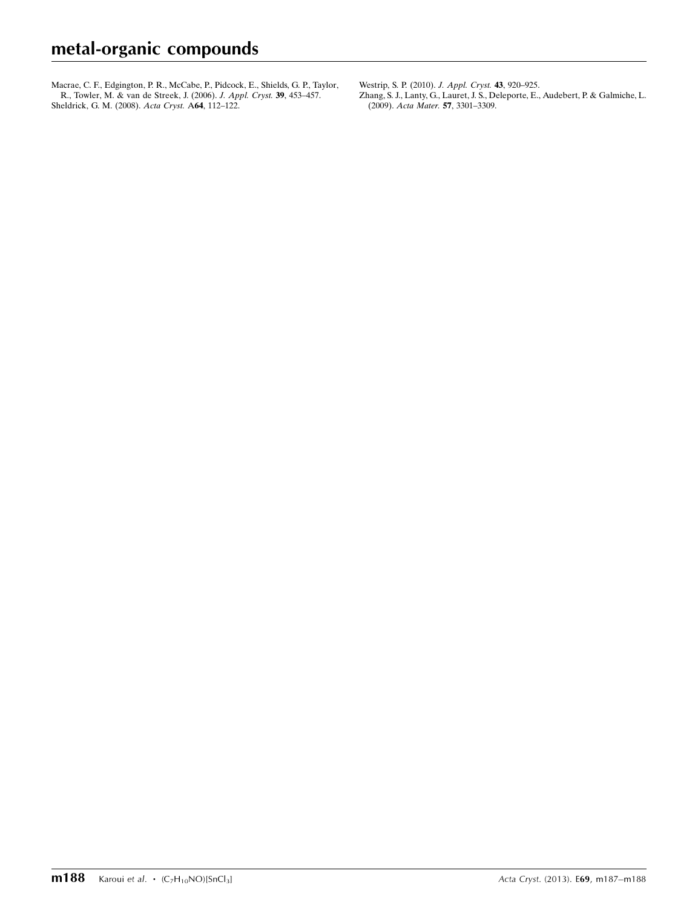[Macrae, C. F., Edgington, P. R., McCabe, P., Pidcock, E., Shields, G. P., Taylor,](https://scripts.iucr.org/cgi-bin/cr.cgi?rm=pdfbb&cnor=vn2066&bbid=BB10) [R., Towler, M. & van de Streek, J. \(2006\).](https://scripts.iucr.org/cgi-bin/cr.cgi?rm=pdfbb&cnor=vn2066&bbid=BB10) J. Appl. Cryst. 39, 453-457. [Sheldrick, G. M. \(2008\).](https://scripts.iucr.org/cgi-bin/cr.cgi?rm=pdfbb&cnor=vn2066&bbid=BB11) Acta Cryst. A64, 112–122.

[Westrip, S. P. \(2010\).](https://scripts.iucr.org/cgi-bin/cr.cgi?rm=pdfbb&cnor=vn2066&bbid=BB12) J. Appl. Cryst. 43, 920–925. [Zhang, S. J., Lanty, G., Lauret, J. S., Deleporte, E., Audebert, P. & Galmiche, L.](https://scripts.iucr.org/cgi-bin/cr.cgi?rm=pdfbb&cnor=vn2066&bbid=BB13)

(2009). Acta Mater. 57[, 3301–3309.](https://scripts.iucr.org/cgi-bin/cr.cgi?rm=pdfbb&cnor=vn2066&bbid=BB13)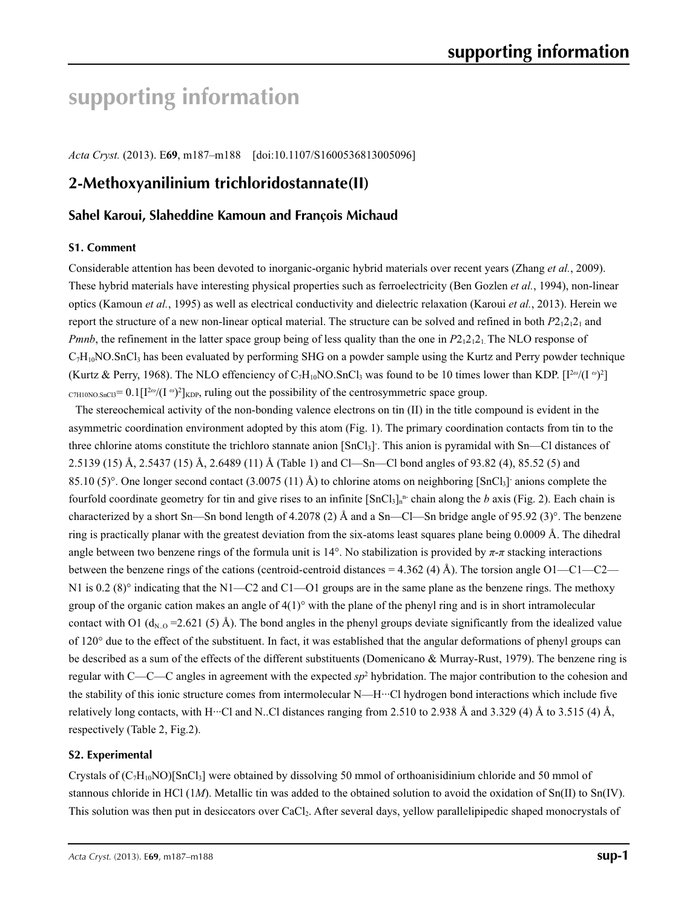# **supporting information**

*Acta Cryst.* (2013). E**69**, m187–m188 [doi:10.1107/S1600536813005096]

## **2-Methoxyanilinium trichloridostannate(II)**

### **Sahel Karoui, Slaheddine Kamoun and François Michaud**

#### **S1. Comment**

Considerable attention has been devoted to inorganic-organic hybrid materials over recent years (Zhang *et al.*, 2009). These hybrid materials have interesting physical properties such as ferroelectricity (Ben Gozlen *et al.*, 1994), non-linear optics (Kamoun *et al.*, 1995) as well as electrical conductivity and dielectric relaxation (Karoui *et al.*, 2013). Herein we report the structure of a new non-linear optical material. The structure can be solved and refined in both  $P2_12_12_1$  and *Pmnb*, the refinement in the latter space group being of less quality than the one in *P*2<sub>1</sub>2<sub>1</sub>2<sub>1</sub>. The NLO response of  $C_7H_{10}NO.SnCl<sub>3</sub>$  has been evaluated by performing SHG on a powder sample using the Kurtz and Perry powder technique (Kurtz & Perry, 1968). The NLO effenciency of  $C_7H_{10}NO$ . SnCl<sub>3</sub> was found to be 10 times lower than KDP.  $[I^{2\omega}/(I^{\omega})^2]$ C7H10NO.SnCl3= 0.1[I2*<sup>ω</sup>*/(I *<sup>ω</sup>*) 2 ]KDP, ruling out the possibility of the centrosymmetric space group.

The stereochemical activity of the non-bonding valence electrons on tin (II) in the title compound is evident in the asymmetric coordination environment adopted by this atom (Fig. 1). The primary coordination contacts from tin to the three chlorine atoms constitute the trichloro stannate anion [SnCl3]- . This anion is pyramidal with Sn—Cl distances of 2.5139 (15) Å, 2.5437 (15) Å, 2.6489 (11) Å (Table 1) and Cl—Sn—Cl bond angles of 93.82 (4), 85.52 (5) and 85.10 (5)°. One longer second contact  $(3.0075 (11)$  Å) to chlorine atoms on neighboring [SnCl<sub>3</sub>] anions complete the fourfold coordinate geometry for tin and give rises to an infinite  $\text{[SnCl}_3]_n^n$  chain along the *b* axis (Fig. 2). Each chain is characterized by a short Sn—Sn bond length of 4.2078 (2) Å and a Sn—Cl—Sn bridge angle of 95.92 (3)°. The benzene ring is practically planar with the greatest deviation from the six-atoms least squares plane being 0.0009 Å. The dihedral angle between two benzene rings of the formula unit is 14°. No stabilization is provided by *π*-*π* stacking interactions between the benzene rings of the cations (centroid-centroid distances = 4.362 (4) Å). The torsion angle O1—C1—C2— N1 is 0.2 (8)° indicating that the N1—C2 and C1—O1 groups are in the same plane as the benzene rings. The methoxy group of the organic cation makes an angle of  $4(1)^\circ$  with the plane of the phenyl ring and is in short intramolecular contact with O1 ( $d_{N,Q}$  = 2.621 (5) Å). The bond angles in the phenyl groups deviate significantly from the idealized value of 120° due to the effect of the substituent. In fact, it was established that the angular deformations of phenyl groups can be described as a sum of the effects of the different substituents (Domenicano & Murray-Rust, 1979). The benzene ring is regular with  $C-C-C$  angles in agreement with the expected  $sp^2$  hybridation. The major contribution to the cohesion and the stability of this ionic structure comes from intermolecular N—H···Cl hydrogen bond interactions which include five relatively long contacts, with H···Cl and N..Cl distances ranging from 2.510 to 2.938 Å and 3.329 (4) Å to 3.515 (4) Å, respectively (Table 2, Fig.2).

#### **S2. Experimental**

Crystals of  $(C_7H_{10}NO)$ [SnCl<sub>3</sub>] were obtained by dissolving 50 mmol of orthoanisidinium chloride and 50 mmol of stannous chloride in HCl (1*M*). Metallic tin was added to the obtained solution to avoid the oxidation of Sn(II) to Sn(IV). This solution was then put in desiccators over CaCl<sub>2</sub>. After several days, yellow parallelipipedic shaped monocrystals of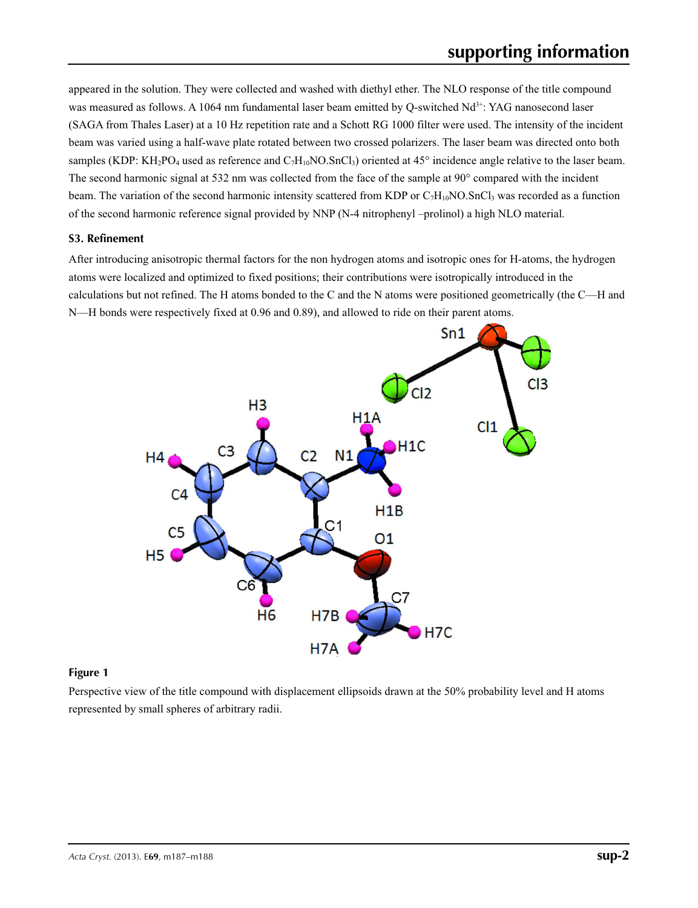appeared in the solution. They were collected and washed with diethyl ether. The NLO response of the title compound was measured as follows. A 1064 nm fundamental laser beam emitted by Q-switched Nd<sup>3+</sup>: YAG nanosecond laser (SAGA from Thales Laser) at a 10 Hz repetition rate and a Schott RG 1000 filter were used. The intensity of the incident beam was varied using a half-wave plate rotated between two crossed polarizers. The laser beam was directed onto both samples (KDP: KH<sub>2</sub>PO<sub>4</sub> used as reference and  $C_7H_{10}NO.SnCl_3$ ) oriented at 45° incidence angle relative to the laser beam. The second harmonic signal at 532 nm was collected from the face of the sample at 90° compared with the incident beam. The variation of the second harmonic intensity scattered from KDP or  $C_7H_{10}NO$ . SnCl<sub>3</sub> was recorded as a function of the second harmonic reference signal provided by NNP (N-4 nitrophenyl –prolinol) a high NLO material.

### **S3. Refinement**

After introducing anisotropic thermal factors for the non hydrogen atoms and isotropic ones for H-atoms, the hydrogen atoms were localized and optimized to fixed positions; their contributions were isotropically introduced in the calculations but not refined. The H atoms bonded to the C and the N atoms were positioned geometrically (the C—H and N—H bonds were respectively fixed at 0.96 and 0.89), and allowed to ride on their parent atoms.



#### **Figure 1**

Perspective view of the title compound with displacement ellipsoids drawn at the 50% probability level and H atoms represented by small spheres of arbitrary radii.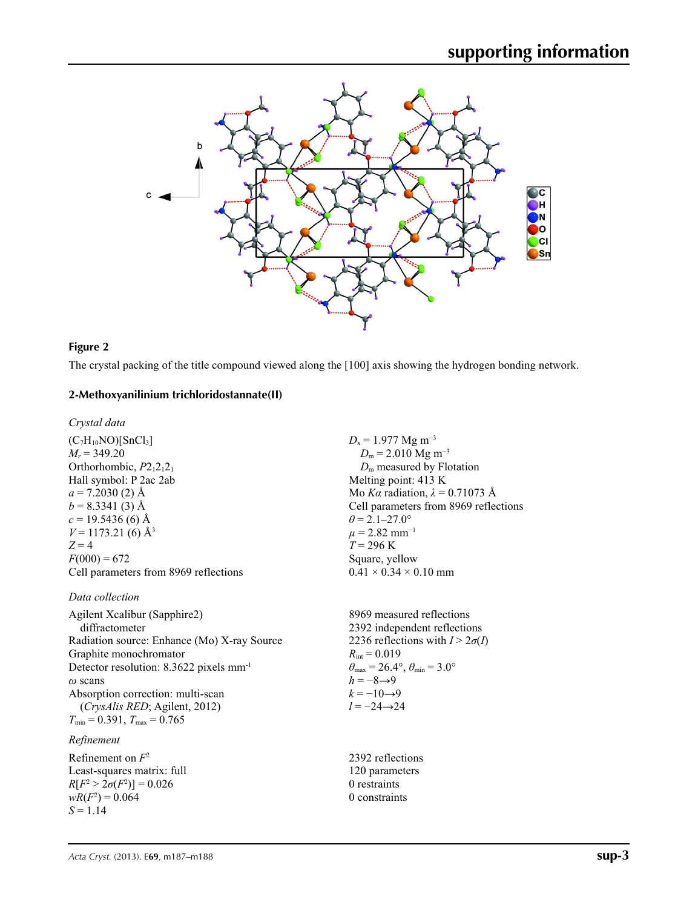

#### **Figure 2**

The crystal packing of the title compound viewed along the [100] axis showing the hydrogen bonding network.

#### **2-Methoxyanilinium trichloridostannate(II)**

*Crystal data*

 $(C_7H_{10}NO)[SnCl_3]$  $M_r = 349.20$ Orthorhombic,  $P2_12_12_1$ Hall symbol: P 2ac 2ab  $a = 7.2030(2)$  Å  $b = 8.3341(3)$  Å  $c = 19.5436(6)$  Å  $V = 1173.21$  (6) Å<sup>3</sup>  $Z = 4$  $F(000) = 672$ Cell parameters from 8969 reflections

#### *Data collection*

Agilent Xcalibur (Sapphire2) diffractometer Radiation source: Enhance (Mo) X-ray Source Graphite monochromator Detector resolution: 8.3622 pixels mm-1 *ω* scans Absorption correction: multi-scan (*CrysAlis RED*; Agilent, 2012)  $T_{\text{min}} = 0.391, T_{\text{max}} = 0.765$ 

### *Refinement*

Refinement on *F*<sup>2</sup> Least-squares matrix: full *R*[ $F^2 > 2\sigma(F^2)$ ] = 0.026  $wR(F^2) = 0.064$ *S* = 1.14

 $D_x = 1.977$  Mg m<sup>-3</sup>  $D_m$  = 2.010 Mg m<sup>-3</sup> *D*m measured by Flotation Melting point: 413 K Mo *Kα* radiation,  $\lambda = 0.71073$  Å Cell parameters from 8969 reflections  $\theta$  = 2.1–27.0°  $\mu$  = 2.82 mm<sup>-1</sup>  $T = 296$  K Square, yellow  $0.41 \times 0.34 \times 0.10$  mm

8969 measured reflections 2392 independent reflections 2236 reflections with  $I > 2\sigma(I)$  $R_{\text{int}} = 0.019$  $\theta_{\text{max}} = 26.4^{\circ}, \theta_{\text{min}} = 3.0^{\circ}$  $h = -8 \rightarrow 9$  $k = -10 \rightarrow 9$ *l* = −24→24

2392 reflections 120 parameters 0 restraints 0 constraints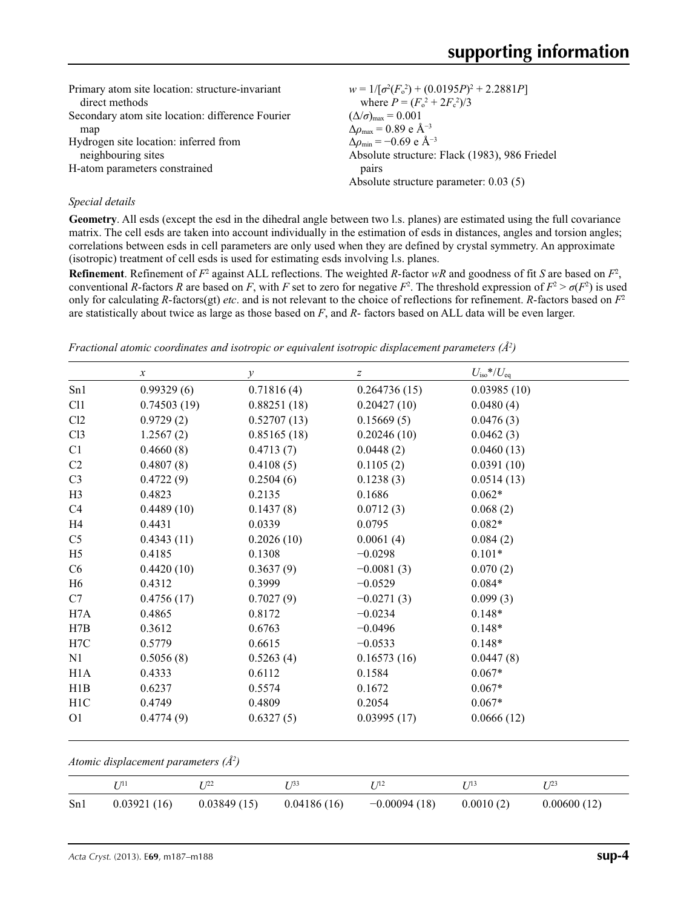| $w = 1/[\sigma^2(F_0^2) + (0.0195P)^2 + 2.2881P]$<br>where $P = (F_o^2 + 2F_c^2)/3$ |
|-------------------------------------------------------------------------------------|
| $(\Delta/\sigma)_{\text{max}} = 0.001$                                              |
| $\Delta\rho_{\text{max}} = 0.89 \text{ e A}^{-3}$                                   |
| $\Delta\rho_{\rm min} = -0.69$ e Å <sup>-3</sup>                                    |
| Absolute structure: Flack (1983), 986 Friedel                                       |
| pairs                                                                               |
| Absolute structure parameter: $0.03(5)$                                             |
|                                                                                     |

#### *Special details*

**Geometry**. All esds (except the esd in the dihedral angle between two l.s. planes) are estimated using the full covariance matrix. The cell esds are taken into account individually in the estimation of esds in distances, angles and torsion angles; correlations between esds in cell parameters are only used when they are defined by crystal symmetry. An approximate (isotropic) treatment of cell esds is used for estimating esds involving l.s. planes.

**Refinement**. Refinement of  $F^2$  against ALL reflections. The weighted *R*-factor  $wR$  and goodness of fit *S* are based on  $F^2$ , conventional *R*-factors *R* are based on *F*, with *F* set to zero for negative  $F^2$ . The threshold expression of  $F^2 > \sigma(F^2)$  is used only for calculating *R*-factors(gt) *etc*. and is not relevant to the choice of reflections for refinement. *R*-factors based on *F*<sup>2</sup> are statistically about twice as large as those based on *F*, and *R*- factors based on ALL data will be even larger.

|                | $\boldsymbol{x}$ | $\mathcal{Y}$ | $\boldsymbol{Z}$ | $U_{\rm iso}$ */ $U_{\rm eq}$ |
|----------------|------------------|---------------|------------------|-------------------------------|
| Sn1            | 0.99329(6)       | 0.71816(4)    | 0.264736(15)     | 0.03985(10)                   |
| C11            | 0.74503(19)      | 0.88251(18)   | 0.20427(10)      | 0.0480(4)                     |
| Cl2            | 0.9729(2)        | 0.52707(13)   | 0.15669(5)       | 0.0476(3)                     |
| C13            | 1.2567(2)        | 0.85165(18)   | 0.20246(10)      | 0.0462(3)                     |
| C1             | 0.4660(8)        | 0.4713(7)     | 0.0448(2)        | 0.0460(13)                    |
| C <sub>2</sub> | 0.4807(8)        | 0.4108(5)     | 0.1105(2)        | 0.0391(10)                    |
| C <sub>3</sub> | 0.4722(9)        | 0.2504(6)     | 0.1238(3)        | 0.0514(13)                    |
| H <sub>3</sub> | 0.4823           | 0.2135        | 0.1686           | $0.062*$                      |
| C4             | 0.4489(10)       | 0.1437(8)     | 0.0712(3)        | 0.068(2)                      |
| H4             | 0.4431           | 0.0339        | 0.0795           | $0.082*$                      |
| C <sub>5</sub> | 0.4343(11)       | 0.2026(10)    | 0.0061(4)        | 0.084(2)                      |
| H <sub>5</sub> | 0.4185           | 0.1308        | $-0.0298$        | $0.101*$                      |
| C <sub>6</sub> | 0.4420(10)       | 0.3637(9)     | $-0.0081(3)$     | 0.070(2)                      |
| H <sub>6</sub> | 0.4312           | 0.3999        | $-0.0529$        | $0.084*$                      |
| C7             | 0.4756(17)       | 0.7027(9)     | $-0.0271(3)$     | 0.099(3)                      |
| H7A            | 0.4865           | 0.8172        | $-0.0234$        | $0.148*$                      |
| H7B            | 0.3612           | 0.6763        | $-0.0496$        | $0.148*$                      |
| H7C            | 0.5779           | 0.6615        | $-0.0533$        | $0.148*$                      |
| N1             | 0.5056(8)        | 0.5263(4)     | 0.16573(16)      | 0.0447(8)                     |
| H1A            | 0.4333           | 0.6112        | 0.1584           | $0.067*$                      |
| H1B            | 0.6237           | 0.5574        | 0.1672           | $0.067*$                      |
| H1C            | 0.4749           | 0.4809        | 0.2054           | $0.067*$                      |
| O <sub>1</sub> | 0.4774(9)        | 0.6327(5)     | 0.03995(17)      | 0.0666(12)                    |

*Fractional atomic coordinates and isotropic or equivalent isotropic displacement parameters (Å<sup>2</sup>)* 

*Atomic displacement parameters (Å2 )*

|     |             | T 122       | 733         | $\pi_2$        |           | - 123       |
|-----|-------------|-------------|-------------|----------------|-----------|-------------|
| Sn1 | 0.03921(16) | 0.03849(15) | 0.04186(16) | $-0.00094(18)$ | 0.0010(2) | 0.00600(12) |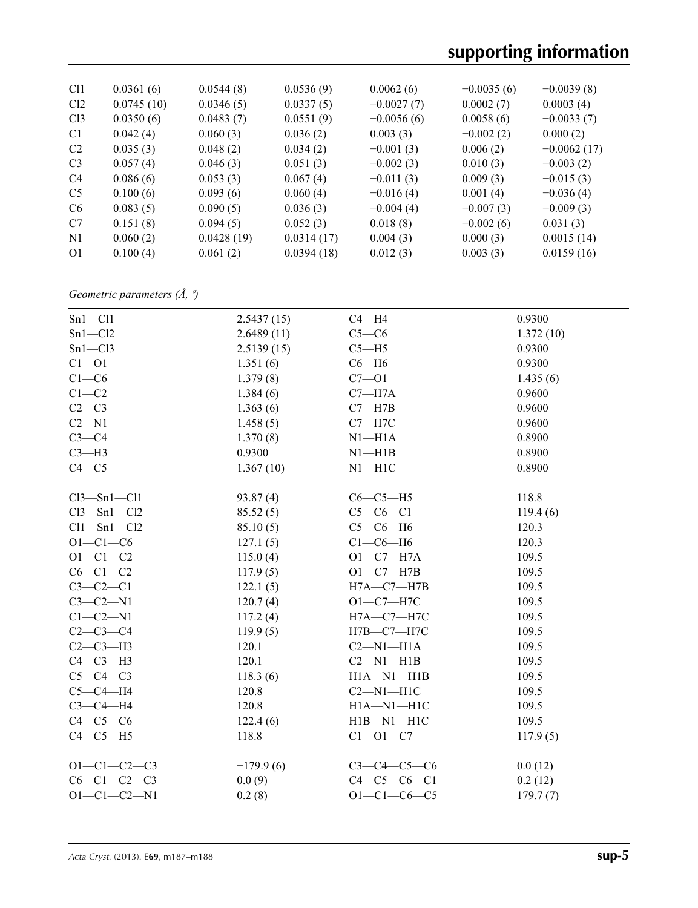# **supporting information**

| C <sub>11</sub> | 0.0361(6)  | 0.0544(8)  | 0.0536(9)  | 0.0062(6)    | $-0.0035(6)$ | $-0.0039(8)$  |
|-----------------|------------|------------|------------|--------------|--------------|---------------|
| Cl <sub>2</sub> | 0.0745(10) | 0.0346(5)  | 0.0337(5)  | $-0.0027(7)$ | 0.0002(7)    | 0.0003(4)     |
| Cl <sub>3</sub> | 0.0350(6)  | 0.0483(7)  | 0.0551(9)  | $-0.0056(6)$ | 0.0058(6)    | $-0.0033(7)$  |
| C <sub>1</sub>  | 0.042(4)   | 0.060(3)   | 0.036(2)   | 0.003(3)     | $-0.002(2)$  | 0.000(2)      |
| C <sub>2</sub>  | 0.035(3)   | 0.048(2)   | 0.034(2)   | $-0.001(3)$  | 0.006(2)     | $-0.0062(17)$ |
| C <sub>3</sub>  | 0.057(4)   | 0.046(3)   | 0.051(3)   | $-0.002(3)$  | 0.010(3)     | $-0.003(2)$   |
| C <sub>4</sub>  | 0.086(6)   | 0.053(3)   | 0.067(4)   | $-0.011(3)$  | 0.009(3)     | $-0.015(3)$   |
| C <sub>5</sub>  | 0.100(6)   | 0.093(6)   | 0.060(4)   | $-0.016(4)$  | 0.001(4)     | $-0.036(4)$   |
| C <sub>6</sub>  | 0.083(5)   | 0.090(5)   | 0.036(3)   | $-0.004(4)$  | $-0.007(3)$  | $-0.009(3)$   |
| C7              | 0.151(8)   | 0.094(5)   | 0.052(3)   | 0.018(8)     | $-0.002(6)$  | 0.031(3)      |
| N1              | 0.060(2)   | 0.0428(19) | 0.0314(17) | 0.004(3)     | 0.000(3)     | 0.0015(14)    |
| O <sub>1</sub>  | 0.100(4)   | 0.061(2)   | 0.0394(18) | 0.012(3)     | 0.003(3)     | 0.0159(16)    |
|                 |            |            |            |              |              |               |

*Geometric parameters (Å, º)*

| $Sn1 - Cl1$         | 2.5437(15)  | $C4 - H4$           | 0.9300    |
|---------------------|-------------|---------------------|-----------|
| $Sn1 - Cl2$         | 2.6489(11)  | $C5-C6$             | 1.372(10) |
| $Sn1 - Cl3$         | 2.5139(15)  | $C5 - H5$           | 0.9300    |
| $C1 - 01$           | 1.351(6)    | $C6 - H6$           | 0.9300    |
| $C1-C6$             | 1.379(8)    | $C7 - O1$           | 1.435(6)  |
| $C1-C2$             | 1.384(6)    | $C7 - H7A$          | 0.9600    |
| $C2-C3$             | 1.363(6)    | $C7 - H7B$          | 0.9600    |
| $C2 - N1$           | 1.458(5)    | $C7 - H7C$          | 0.9600    |
| $C3-C4$             | 1.370(8)    | $N1 - H1A$          | 0.8900    |
| $C3-H3$             | 0.9300      | $N1 - H1B$          | 0.8900    |
| $C4 - C5$           | 1.367(10)   | $N1 - H1C$          | 0.8900    |
| $Cl3 - Sn1 - Cl1$   | 93.87(4)    | $C6-C5-H5$          | 118.8     |
| $Cl3 - Sn1 - Cl2$   | 85.52(5)    | $C5-C6-C1$          | 119.4(6)  |
| $Cl1 - Sn1 - Cl2$   | 85.10(5)    | $C5-C6-H6$          | 120.3     |
| $O1 - C1 - C6$      | 127.1(5)    | $C1-C6-H6$          | 120.3     |
| $O1 - C1 - C2$      | 115.0(4)    | $O1-C7-H7A$         | 109.5     |
| $C6-C1-C2$          | 117.9(5)    | $O1-C7-H7B$         | 109.5     |
| $C3-C2-C1$          | 122.1(5)    | $H7A - C7 - H7B$    | 109.5     |
| $C3-C2-N1$          | 120.7(4)    | $O1-C7-H7C$         | 109.5     |
| $C1-C2-N1$          | 117.2(4)    | H7A-C7-H7C          | 109.5     |
| $C2-C3-C4$          | 119.9(5)    | $H7B - C7 - H7C$    | 109.5     |
| $C2-C3-H3$          | 120.1       | $C2-M1-H1A$         | 109.5     |
| $C4-C3-H3$          | 120.1       | $C2-M1-H1B$         | 109.5     |
| $C5-C4-C3$          | 118.3(6)    | $H1A - N1 - H1B$    | 109.5     |
| $C5-C4-H4$          | 120.8       | $C2-M1-H1C$         | 109.5     |
| $C3-C4-H4$          | 120.8       | $H1A - N1 - H1C$    | 109.5     |
| $C4-C5-C6$          | 122.4(6)    | $H1B-M1-H1C$        | 109.5     |
| $C4-C5-H5$          | 118.8       | $C1 - 01 - C7$      | 117.9(5)  |
| $O1 - C1 - C2 - C3$ | $-179.9(6)$ | $C3 - C4 - C5 - C6$ | 0.0(12)   |
| $C6 - C1 - C2 - C3$ | 0.0(9)      | $C4 - C5 - C6 - C1$ | 0.2(12)   |
| $O1 - C1 - C2 - N1$ | 0.2(8)      | $O1 - C1 - C6 - C5$ | 179.7(7)  |
|                     |             |                     |           |